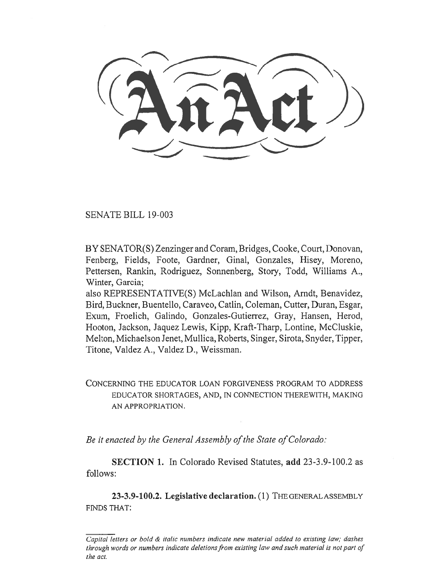SENATE BILL 19-003

BY SENATOR(S) Zenzinger and Coram, Bridges, Cooke, Court, Donovan, Fenberg, Fields, Foote, Gardner, Ginal, Gonzales, Hisey, Moreno, Pettersen, Rankin, Rodriguez, Sonnenberg, Story, Todd, Williams A., Winter, Garcia;

also REPRESENTATIVE(S) McLachlan and Wilson, Arndt, Benavidez, Bird, Buckner, Buentello, Caraveo, Catlin, Coleman, Cutter, Duran, Esgar, Exum, Froelich, Galindo, Gonzales-Gutierrez, Gray, Hansen, Herod, Hooton, Jackson, Jaquez Lewis, Kipp, Kraft-Tharp, Lontine, McCluskie, Melton, Michaelson Jenet, Mullica, Roberts, Singer, Sirota, Snyder, Tipper, Titone, Valdez A., Valdez **D.,** Weissman.

CONCERNING THE EDUCATOR LOAN FORGIVENESS PROGRAM TO ADDRESS EDUCATOR SHORTAGES, AND, IN CONNECTION THEREWITH, MAKING AN APPROPRIATION.

*Be it enacted by the General Assembly of the State of Colorado:* 

**SECTION 1.** In Colorado Revised Statutes, **add** 23-3.9-100.2 as follows:

**23-3.9-100.2. Legislative declaration.** (1) THE GENERAL ASSEMBLY FINDS THAT:

*Capital letters or bold & italic numbers indicate new material added to existing law; dashes through words or numbers indicate deletions from existing law and such material is not part of the act.*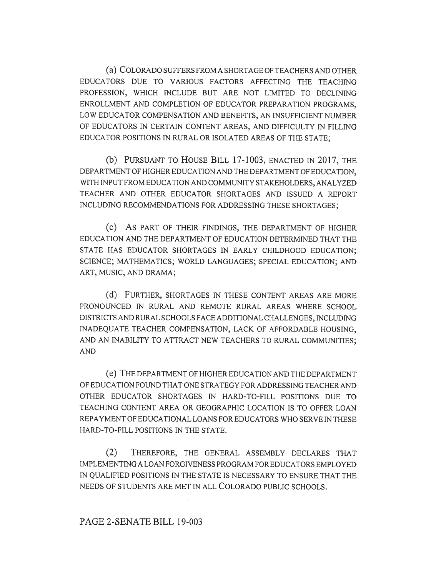(a) COLORADO SUFFERS FROM A SHORTAGE OF TEACHERS AND OTHER EDUCATORS DUE TO VARIOUS FACTORS AFFECTING THE TEACHING PROFESSION, WHICH INCLUDE BUT ARE NOT LIMITED TO DECLINING ENROLLMENT AND COMPLETION OF EDUCATOR PREPARATION PROGRAMS, LOW EDUCATOR COMPENSATION AND BENEFITS, AN INSUFFICIENT NUMBER OF EDUCATORS IN CERTAIN CONTENT AREAS, AND DIFFICULTY IN FILLING EDUCATOR POSITIONS IN RURAL OR ISOLATED AREAS OF THE STATE;

(b) PURSUANT TO HOUSE BILL 17-1003, ENACTED IN 2017, THE DEPARTMENT OF HIGHER EDUCATION AND THE DEPARTMENT OF EDUCATION, WITH INPUT FROM EDUCATION AND COMMUNITY STAKEHOLDERS, ANALYZED TEACHER AND OTHER EDUCATOR SHORTAGES AND ISSUED A REPORT INCLUDING RECOMMENDATIONS FOR ADDRESSING THESE SHORTAGES;

(c) AS PART OF THEIR FINDINGS, THE DEPARTMENT OF HIGHER EDUCATION AND THE DEPARTMENT OF EDUCATION DETERMINED THAT THE STATE HAS EDUCATOR SHORTAGES IN EARLY CHILDHOOD EDUCATION; SCIENCE; MATHEMATICS; WORLD LANGUAGES; SPECIAL EDUCATION; AND ART, MUSIC, AND DRAMA;

(d) FURTHER, SHORTAGES IN THESE CONTENT AREAS ARE MORE PRONOUNCED IN RURAL AND REMOTE RURAL AREAS WHERE SCHOOL DISTRICTS AND RURAL SCHOOLS FACE ADDITIONAL CHALLENGES, INCLUDING INADEQUATE TEACHER COMPENSATION, LACK OF AFFORDABLE HOUSING, AND AN INABILITY TO ATTRACT NEW TEACHERS TO RURAL COMMUNITIES; AND

(e) THE DEPARTMENT OF HIGHER EDUCATION AND THE DEPARTMENT OF EDUCATION FOUND THAT ONE STRATEGY FOR ADDRESSING TEACHER AND OTHER EDUCATOR SHORTAGES IN HARD-TO-FILL POSITIONS DUE TO TEACHING CONTENT AREA OR GEOGRAPHIC LOCATION IS TO OFFER LOAN REPAYMENT OF EDUCATIONAL LOANS FOR EDUCATORS WHO SERVE IN THESE HARD-TO-FILL POSITIONS IN THE STATE.

(2) THEREFORE, THE GENERAL ASSEMBLY DECLARES THAT IMPLEMENTING A LOAN FORGIVENESS PROGRAM FOR EDUCATORS EMPLOYED IN QUALIFIED POSITIONS IN THE STATE IS NECESSARY TO ENSURE THAT THE NEEDS OF STUDENTS ARE MET IN ALL COLORADO PUBLIC SCHOOLS.

## PAGE 2-SENATE BILL 19-003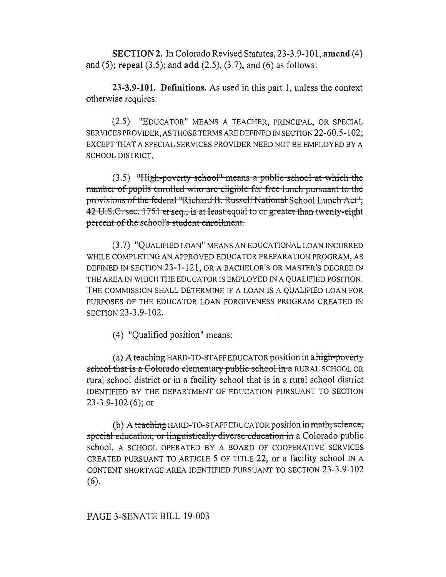**SECTION 2.** In Colorado Revised Statutes, 23-3.9-101, amend (4) and (5); repeal (3.5); and add (2.5), (3.7), and (6) as follows:

23-3.9-101. Definitions. As used in this part 1, unless the context otherwise requires:

(2.5) "EDUCATOR" MEANS A TEACHER, PRINCIPAL, OR SPECIAL SERVICES PROVIDER, AS THOSE TERMS ARE DEFINED IN SECTION 22-60.5-102; EXCEPT THAT A SPECIAL SERVICES PROVIDER NEED NOT BE EMPLOYED BY A SCHOOL DISTRICT.

 $(3.5)$  "High-poverty school" means a public school at which the number of pupils enrolled who are eligible for free lunch pursuant to the provisions of the federal "Richard B. Russell National School Lunch Act", 42 U.S.C. sec. 1751 et seq., is at least equal to or greater than twenty-eight percent of the school's student enrollment.

(3.7) "QUALIFIED LOAN" MEANS AN EDUCATIONAL LOAN INCURRED WHILE COMPLETING AN APPROVED EDUCATOR PREPARATION PROGRAM, AS DEFINED IN SECTION 23-1-121, OR A BACHELOR'S OR MASTER'S DEGREE IN THE AREA IN WHICH THE EDUCATOR IS EMPLOYED IN A QUALIFIED POSITION. THE COMMISSION SHALL DETERMINE IF A LOAN IS A QUALIFIED LOAN FOR PURPOSES OF THE EDUCATOR LOAN FORGIVENESS PROGRAM CREATED IN SECTION 23-3.9-102.

(4) "Qualified position" means:

(a) A teaching HARD-TO-STAFF EDUCATOR position in a high-poverty school that is a Colorado elementary public school in a RURAL SCHOOL OR rural school district or in a facility school that is in a rural school district IDENTIFIED BY THE DEPARTMENT OF EDUCATION PURSUANT TO SECTION  $23-3.9-102(6)$ ; or

(b) A teaching HARD-TO-STAFF EDUCATOR position in math, science, special education, or linguistically diverse education in a Colorado public school, A SCHOOL OPERATED BY A BOARD OF COOPERATIVE SERVICES CREATED PURSUANT TO ARTICLE 5 OF TITLE 22, or a facility school IN A CONTENT SHORTAGE AREA IDENTIFIED PURSUANT TO SECTION 23-3.9-102  $(6).$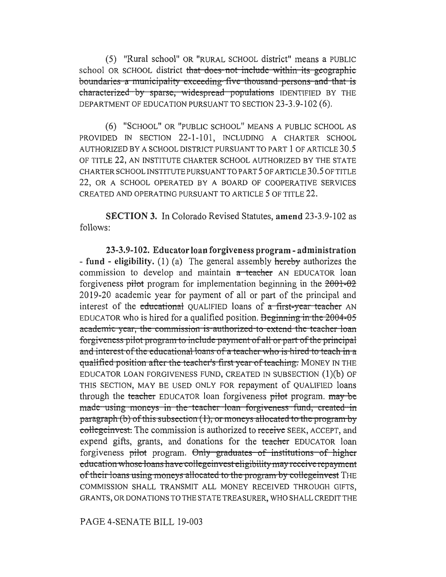(5) "Rural school" OR "RURAL SCHOOL district" means a PUBLIC school OR SCHOOL district that does not include within its geographic boundaries a municipality exceeding five thousand persons and that is characterized by sparse, widespread populations IDENTIFIED BY THE DEPARTMENT OF EDUCATION PURSUANT TO SECTION 23-3.9-102 (6).

(6) "SCHOOL" OR "PUBLIC SCHOOL" MEANS A PUBLIC SCHOOL AS PROVIDED IN SECTION 22-1-101, TNCLUDING A CHARTER SCHOOL AUTHORIZED BY A SCHOOL DISTRICT PURSUANT TO PART 1 OF ARTICLE 30.5 OF TITLE 22, AN INSTITUTE CHARTER SCHOOL AUTHORIZED BY THE STATE CHARTER SCHOOL INSTITUTE PURSUANT TO PART 5 OF ARTICLE 30.5 OF TITLE 22, OR A SCHOOL OPERATED BY A BOARD OF COOPERATIVE SERVICES CREATED AND OPERATING PURSUANT TO ARTICLE 5 OF TITLE 22.

**SECTION 3.** In Colorado Revised Statutes, amend 23-3.9-102 as follows:

**23-3.9-102. Educator loan forgiveness program - administration - fund - eligibility.** (1) (a) The general assembly hereby authorizes the commission to develop and maintain a teacher AN EDUCATOR loan forgiveness pilot program for implementation beginning in the 2001-02 2019-20 academic year for payment of all or part of the principal and interest of the educational QUALIFIED loans of  $\alpha$  first-year teacher AN EDUCATOR who is hired for a qualified position. Beginning in the  $2004-05$ academic year, the commission is authorized to extend the teacher loan forgiveness pilot program to include payment of all or part of the principal and interest of the educational loans of a teacher who is hired to teach in a qualified position after the teacher's first year of teaching. MONEY IN THE EDUCATOR LOAN FORGIVENESS FUND, CREATED IN SUBSECTION (1)(b) OF THIS SECTION, MAY BE USED ONLY FOR repayment of QUALIFIED loans through the teacher EDUCATOR loan forgiveness pilot program. may be made-using-moneys in the-teacher-loan forgiveness fund, created-in paragraph (b) of this subsection (1), or moneys allocated to the program by collegeinvest. The commission is authorized to receive SEEK, ACCEPT, and expend gifts, grants, and donations for the teacher EDUCATOR loan forgiveness pilot program. Only graduates of institutions of higher education whose loans have college invest eligibility may receive repayment of their loans using moneys allocated to the program-by collegeinvest THE COMMISSION SHALL TRANSMIT ALL MONEY RECEIVED THROUGH GIFTS, GRANTS, OR DONATIONS TO THE STATE TREASURER, WHO SHALL CREDIT THE

PAGE 4-SENATE BILL 19-003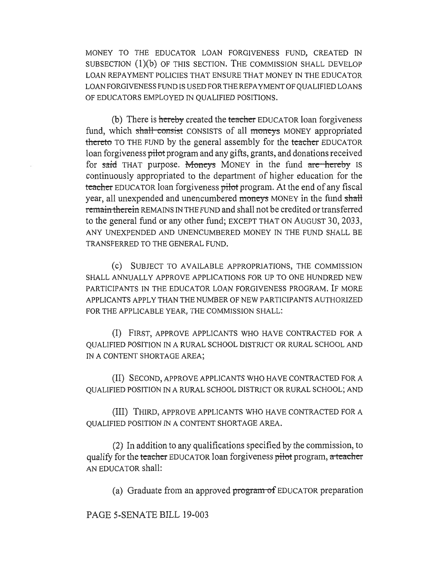MONEY TO THE EDUCATOR LOAN FORGIVENESS FUND, CREATED IN SUBSECTION (1)(b) OF THIS SECTION. THE COMMISSION SHALL DEVELOP LOAN REPAYMENT POLICIES THAT ENSURE THAT MONEY IN THE EDUCATOR LOAN FORGIVENESS FUND IS USED FOR THE REPAYMENT OF QUALIFIED LOANS OF EDUCATORS EMPLOYED IN QUALIFIED POSITIONS.

(b) There is hereby created the teacher EDUCATOR loan forgiveness fund, which shall consist CONSISTS of all moneys MONEY appropriated thereto TO THE FUND by the general assembly for the teacher EDUCATOR loan forgiveness pilot program and any gifts, grants, and donations received for said THAT purpose. Moneys MONEY in the fund are hereby IS continuously appropriated to the department of higher education for the teacher EDUCATOR loan forgiveness pilot program. At the end of any fiscal year, all unexpended and unencumbered moneys MONEY in the fund shall remain therein REMAINS IN THE FUND and shall not be credited or transferred to the general fund or any other fund; EXCEPT THAT ON AUGUST 30, 2033, ANY UNEXPENDED AND UNENCUMBERED MONEY IN THE FUND SHALL BE TRANSFERRED TO THE GENERAL FUND.

(c) SUBJECT TO AVAILABLE APPROPRIATIONS, THE COMMISSION SHALL ANNUALLY APPROVE APPLICATIONS FOR UP TO ONE HUNDRED NEW PARTICIPANTS IN THE EDUCATOR LOAN FORGIVENESS PROGRAM. IF MORE APPLICANTS APPLY THAN THE NUMBER OF NEW PARTICIPANTS AUTHORIZED FOR THE APPLICABLE YEAR, THE COMMISSION SHALL:

(I) FIRST, APPROVE APPLICANTS WHO HAVE CONTRACTED FOR A QUALIFIED POSITION IN A RURAL SCHOOL DISTRICT OR RURAL SCHOOL AND IN A CONTENT SHORTAGE AREA;

(II) SECOND, APPROVE APPLICANTS WHO HAVE CONTRACTED FOR A QUALIFIED POSITION IN A RURAL SCHOOL DISTRICT OR RURAL SCHOOL; AND

(III) THIRD, APPROVE APPLICANTS WHO HAVE CONTRACTED FOR A QUALIFIED POSITION IN A CONTENT SHORTAGE AREA.

(2) In addition to any qualifications specified by the commission, to qualify for the teacher EDUCATOR loan forgiveness pilot program, a teacher AN EDUCATOR shall:

(a) Graduate from an approved  $\frac{1}{2}$  program of EDUCATOR preparation

PAGE 5-SENATE BILL 19-003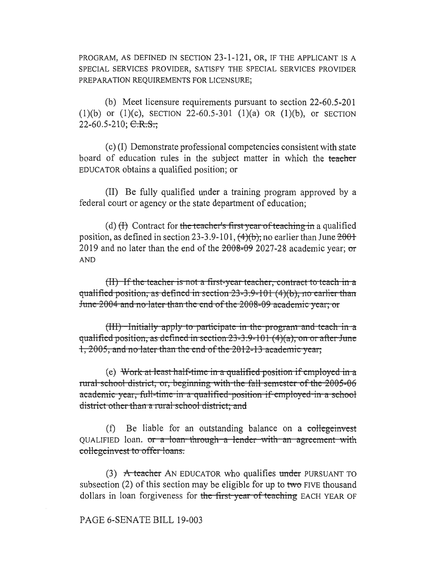PROGRAM, AS DEFINED IN SECTION 23-1-121, OR, IF THE APPLICANT IS A SPECIAL SERVICES PROVIDER, SATISFY THE SPECIAL SERVICES PROVIDER PREPARATION REQUIREMENTS FOR LICENSURE;

(b) Meet licensure requirements pursuant to section 22-60.5-201 (1)(b) or (1)(c), SECTION 22-60.5-301 (1)(a) OR (1)(b), or SECTION 22-60.5-210;  $C.R.S.$ ;

(c) (I) Demonstrate professional competencies consistent with state board of education rules in the subject matter in which the teacher EDUCATOR obtains a qualified position; or

(II) Be fully qualified under a training program approved by a federal court or agency or the state department of education;

(d)  $(H)$  Contract for the teacher's first year of teaching in a qualified position, as defined in section 23-3.9-101,  $(4)(b)$ ; no earlier than June  $2001$ 2019 and no later than the end of the  $2008-09$  2027-28 academic year; or **AND** 

(II) If the teacher is not a first-year teacher, contract to teach in a qualified position, as defined in section  $23-3.9-101(4)(b)$ , no earlier than June 2004 and no later than the end of the 2008-09 academic year; or

 $(HI)$  -Initially apply to participate in the program and teach in a qualified position, as defined in section  $23-3.9-101$  (4)(a), on or after June 1, 2005, and no later than the end of the 2012-13 academic year;

(e) Work at least half-time in a qualified position if employed in a rural school district, or, beginning with the fall semester of the 2005-06 academic year, full-time in a qualified position if employed in a school district other than a rural school district; and

(f) Be liable for an outstanding balance on a collegeinvest QUALIFIED loan. or a loan through a lender with an agreement with collegeinvest to offer loans.

 $(3)$  A teacher AN EDUCATOR who qualifies under PURSUANT TO subsection (2) of this section may be eligible for up to two FIVE thousand dollars in loan forgiveness for the first-year of teaching EACH YEAR OF

## PAGE 6-SENATE BILL 19-003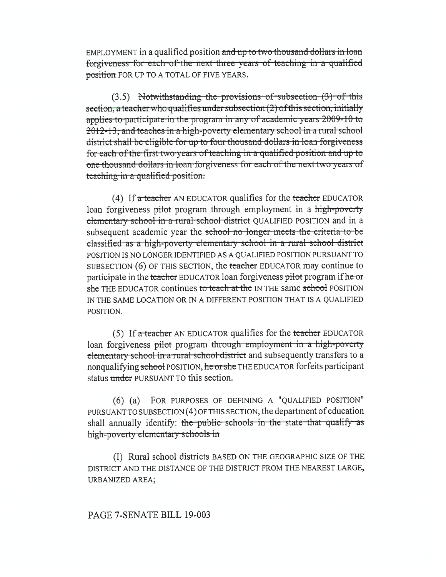EMPLOYMENT in a qualified position and up to two thousand dollars in loan forgiveness for each of the next three years of teaching in a qualified position FOR UP TO A TOTAL OF FIVE YEARS.

 $(3.5)$  Notwithstanding the provisions of subsection  $(3)$  of this section, a teacher who qualifies under subsection (2) of this section, initially applies to participate in the program in any of academic years 2009-10 to 2012-13, and teaches in a high-poverty elementary school in a rural school district shall be eligible for up to four thousand dollars in loan forgiveness for each of the first two years of teaching in a qualified position and up to one thousand dollars in loan forgiveness for each of the next two years of teaching in a qualified position.

(4) If a teacher AN EDUCATOR qualifies for the teacher EDUCATOR loan forgiveness pilot program through employment in a high-poverty elementary school in a rural school district QUALIFIED POSITION and in a subsequent academic year the school no longer meets the criteria to be classified as a high-poverty elementary school in a rural school district POSITION IS NO LONGER IDENTIFIED AS A QUALIFIED POSITION PURSUANT TO SUBSECTION (6) OF THIS SECTION, the teacher EDUCATOR may continue to participate in the teacher EDUCATOR loan forgiveness pilot program if he or she THE EDUCATOR continues to teach at the IN THE same school POSITION IN THE SAME LOCATION OR IN A DIFFERENT POSITION THAT IS A QUALIFIED POSITION.

(5) If a teacher AN EDUCATOR qualifies for the teacher EDUCATOR loan forgiveness pilot program through employment in a high-poverty elementary school in a rural school district and subsequently transfers to a nonqualifying school POSITION, he or she THE EDUCATOR for feits participant status under PURSUANT TO this section.

(6) (a) FOR PURPOSES OF DEFINING A "QUALIFIED POSITION" PURSUANT TO SUBSECTION (4) OF THIS SECTION, the department of education shall annually identify: the public schools in the state that qualify as high-poverty elementary schools in

(I) Rural school districts BASED ON THE GEOGRAPHIC SIZE OF THE DISTRICT AND THE DISTANCE OF THE DISTRICT FROM THE NEAREST LARGE, URBANIZED AREA;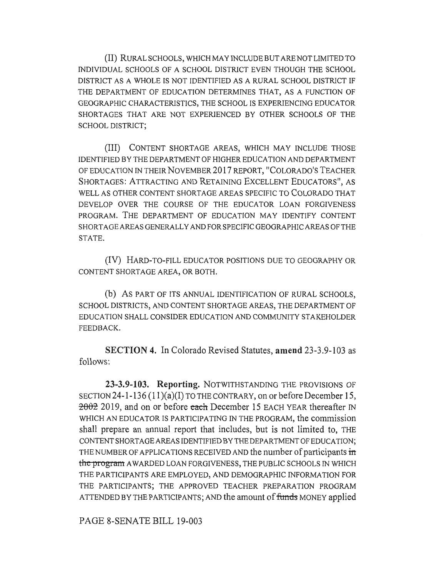(II) RURAL SCHOOLS, WHICH MAY INCLUDE BUT ARE NOT LIMITED TO INDIVIDUAL SCHOOLS OF A SCHOOL DISTRICT EVEN THOUGH THE SCHOOL DISTRICT AS A WHOLE IS NOT IDENTIFIED AS A RURAL SCHOOL DISTRICT IF THE DEPARTMENT OF EDUCATION DETERMINES THAT, AS A FUNCTION OF GEOGRAPHIC CHARACTERISTICS, THE SCHOOL IS EXPERIENCING EDUCATOR SHORTAGES THAT ARE NOT EXPERIENCED BY OTHER SCHOOLS OF THE SCHOOL DISTRICT;

(III) CONTENT SHORTAGE AREAS, WHICH MAY INCLUDE THOSE IDENTIFIED BY THE DEPARTMENT OF HIGHER EDUCATION AND DEPARTMENT OF EDUCATION IN THEIR NOVEMBER 2017 REPORT, "COLORADO'S TEACHER SHORTAGES: ATTRACTING AND RETAINING EXCELLENT EDUCATORS", AS WELL AS OTHER CONTENT SHORTAGE AREAS SPECIFIC TO COLORADO THAT DEVELOP OVER THE COURSE OF THE EDUCATOR LOAN FORGIVENESS PROGRAM. THE DEPARTMENT OF EDUCATION MAY IDENTIFY CONTENT SHORTAGE AREAS GENERALLY AND FOR SPECIFIC GEOGRAPHIC AREAS OF THE STATE.

(IV) HARD-TO-FILL EDUCATOR POSITIONS DUE TO GEOGRAPHY OR CONTENT SHORTAGE AREA, OR BOTH.

(b) As PART OF ITS ANNUAL IDENTIFICATION OF RURAL SCHOOLS, SCHOOL DISTRICTS, AND CONTENT SHORTAGE AREAS, THE DEPARTMENT OF EDUCATION SHALL CONSIDER EDUCATION AND COMMUNITY STAKEHOLDER FEEDBACK.

**SECTION 4.** In Colorado Revised Statutes, **amend** 23-3.9-103 as follows:

**23-3.9-103. Reporting.** NOTWITHSTANDING THE PROVISIONS OF SECTION 24-1-136 (11)(a)(I) TO THE CONTRARY, on or before December 15,  $2002$  2019, and on or before each December 15 EACH YEAR thereafter IN WHICH AN EDUCATOR IS PARTICIPATING IN THE PROGRAM, the commission shall prepare an annual report that includes, but is not limited to, THE CONTENT SHORTAGE AREAS IDENTIFIED BY THE DEPARTMENT OF EDUCATION; THE NUMBER OF APPLICATIONS RECEIVED AND the number of participants **in the-program** AWARDED LOAN FORGIVENESS, THE PUBLIC SCHOOLS IN WHICH THE PARTICIPANTS ARE EMPLOYED, AND DEMOGRAPHIC INFORMATION FOR THE PARTICIPANTS; THE APPROVED TEACHER PREPARATION PROGRAM ATTENDED BY THE PARTICIPANTS; AND the amount of funds MONEY applied

PAGE 8-SENATE BILL 19-003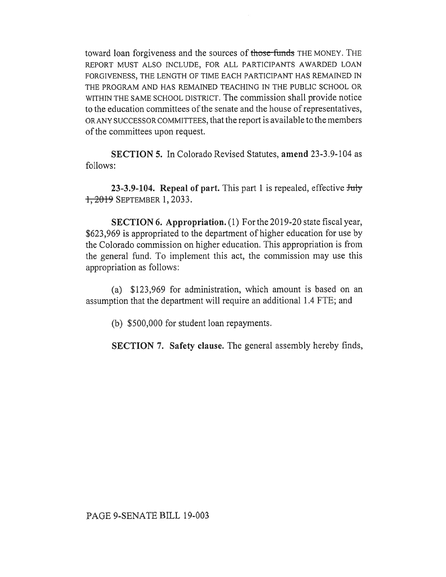toward loan forgiveness and the sources of those funds THE MONEY. THE REPORT MUST ALSO INCLUDE, FOR ALL PARTICIPANTS AWARDED LOAN FORGIVENESS, THE LENGTH OF TIME EACH PARTICIPANT HAS REMAINED IN THE PROGRAM AND HAS REMAINED TEACHING IN THE PUBLIC SCHOOL OR WITHIN THE SAME SCHOOL DISTRICT. The commission shall provide notice to the education committees of the senate and the house of representatives, OR ANY SUCCESSOR COMMITTEES, that the report is available to the members of the committees upon request.

**SECTION 5.** In Colorado Revised Statutes, **amend** 23-3.9-104 as follows:

**23-3.9-104. Repeal of part.** This part 1 is repealed, effective July 1, 2019 SEPTEMBER 1, 2033.

**SECTION 6. Appropriation.** (1) For the 2019-20 state fiscal year, \$623,969 is appropriated to the department of higher education for use by the Colorado commission on higher education. This appropriation is from the general fund. To implement this act, the commission may use this appropriation as follows:

(a) \$123,969 for administration, which amount is based on an assumption that the department will require an additional 1.4 FTE; and

(b) \$500,000 for student loan repayments.

**SECTION 7. Safety clause.** The general assembly hereby finds,